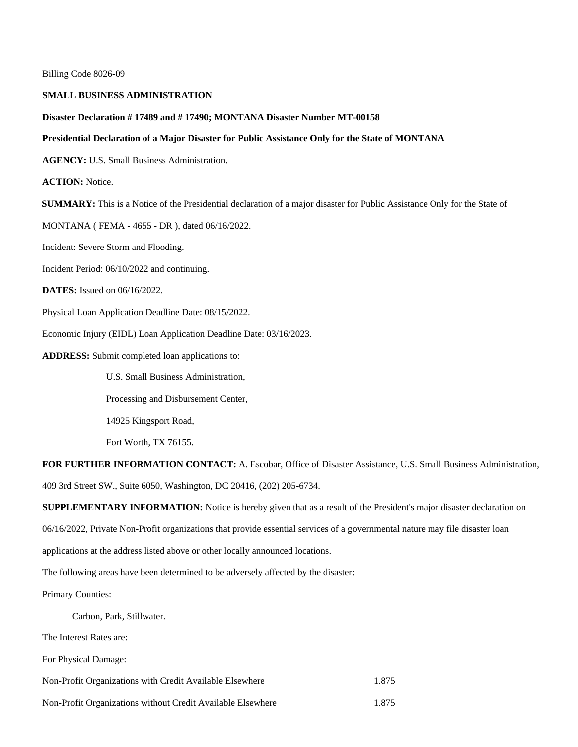Billing Code 8026-09

## **SMALL BUSINESS ADMINISTRATION**

## **Disaster Declaration # 17489 and # 17490; MONTANA Disaster Number MT-00158**

## **Presidential Declaration of a Major Disaster for Public Assistance Only for the State of MONTANA**

**AGENCY:** U.S. Small Business Administration.

**ACTION:** Notice.

**SUMMARY:** This is a Notice of the Presidential declaration of a major disaster for Public Assistance Only for the State of

MONTANA ( FEMA - 4655 - DR ), dated 06/16/2022.

Incident: Severe Storm and Flooding.

Incident Period: 06/10/2022 and continuing.

**DATES:** Issued on 06/16/2022.

Physical Loan Application Deadline Date: 08/15/2022.

Economic Injury (EIDL) Loan Application Deadline Date: 03/16/2023.

**ADDRESS:** Submit completed loan applications to:

U.S. Small Business Administration,

Processing and Disbursement Center,

14925 Kingsport Road,

Fort Worth, TX 76155.

**FOR FURTHER INFORMATION CONTACT:** A. Escobar, Office of Disaster Assistance, U.S. Small Business Administration, 409 3rd Street SW., Suite 6050, Washington, DC 20416, (202) 205-6734.

**SUPPLEMENTARY INFORMATION:** Notice is hereby given that as a result of the President's major disaster declaration on

06/16/2022, Private Non-Profit organizations that provide essential services of a governmental nature may file disaster loan

applications at the address listed above or other locally announced locations.

The following areas have been determined to be adversely affected by the disaster:

Primary Counties:

Carbon, Park, Stillwater.

The Interest Rates are:

For Physical Damage:

Non-Profit Organizations with Credit Available Elsewhere 1.875

Non-Profit Organizations without Credit Available Elsewhere 1.875